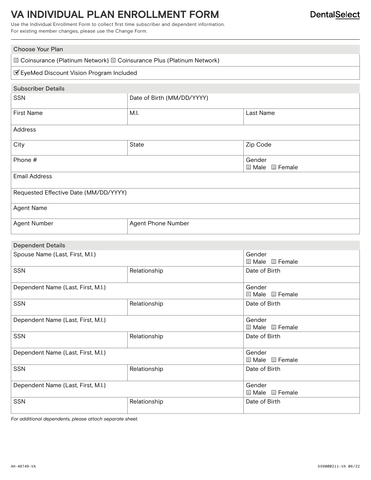## **VA INDIVIDUAL PLAN ENROLLMENT FORM**

Use the Individual Enrollment Form to collect first time subscriber and dependent information. For existing member changes, please use the Change Form.

| <b>Choose Your Plan</b>                                                |                            |                                     |  |
|------------------------------------------------------------------------|----------------------------|-------------------------------------|--|
| □ Coinsurance (Platinum Network) □ Coinsurance Plus (Platinum Network) |                            |                                     |  |
| <b>M</b> EyeMed Discount Vision Program Included                       |                            |                                     |  |
| <b>Subscriber Details</b>                                              |                            |                                     |  |
| SSN                                                                    | Date of Birth (MM/DD/YYYY) |                                     |  |
| <b>First Name</b>                                                      | M.I.                       | Last Name                           |  |
| Address                                                                |                            |                                     |  |
| City                                                                   | State                      | Zip Code                            |  |
| Phone #                                                                |                            | Gender<br>Male Female               |  |
| <b>Email Address</b>                                                   |                            |                                     |  |
| Requested Effective Date (MM/DD/YYYY)                                  |                            |                                     |  |
| Agent Name                                                             |                            |                                     |  |
| <b>Agent Number</b>                                                    | <b>Agent Phone Number</b>  |                                     |  |
| <b>Dependent Details</b>                                               |                            |                                     |  |
| Spouse Name (Last, First, M.I.)                                        |                            | Gender<br>$\Box$ Male $\Box$ Female |  |
| SSN                                                                    | Relationship               | Date of Birth                       |  |
| Dependent Name (Last, First, M.I.)                                     |                            | Gender<br>$\Box$ Male $\Box$ Female |  |
| SSN                                                                    | Relationship               | Date of Birth                       |  |
| Dependent Name (Last, First, M.I.)                                     |                            | Gender<br>Male Female               |  |
| SSN                                                                    | Relationship               | Date of Birth                       |  |
| Dependent Name (Last, First, M.I.)                                     |                            | Gender<br>Male Female               |  |
| SSN                                                                    | Relationship               | Date of Birth                       |  |
| Dependent Name (Last, First, M.I.)                                     |                            | Gender<br>Male Female               |  |
| SSN                                                                    | Relationship               | Date of Birth                       |  |

*For additional dependents, please attach separate sheet.*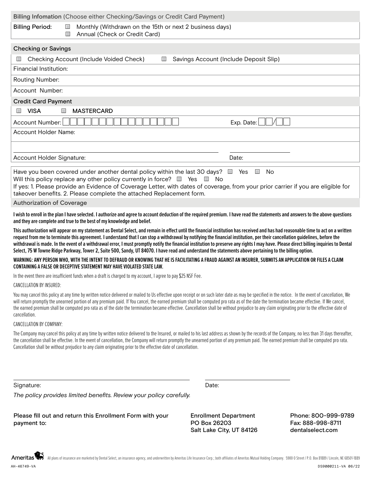|                                                                                                                                                                                                                                                                                                                                                                                                             | Billing Infomation (Choose either Checking/Savings or Credit Card Payment) |                                                                                                                                                                                 |  |
|-------------------------------------------------------------------------------------------------------------------------------------------------------------------------------------------------------------------------------------------------------------------------------------------------------------------------------------------------------------------------------------------------------------|----------------------------------------------------------------------------|---------------------------------------------------------------------------------------------------------------------------------------------------------------------------------|--|
| <b>Billing Period:</b><br>Monthly (Withdrawn on the 15th or next 2 business days)<br>$\Box$<br>Annual (Check or Credit Card)<br>$\Box$                                                                                                                                                                                                                                                                      |                                                                            |                                                                                                                                                                                 |  |
| <b>Checking or Savings</b>                                                                                                                                                                                                                                                                                                                                                                                  |                                                                            |                                                                                                                                                                                 |  |
|                                                                                                                                                                                                                                                                                                                                                                                                             |                                                                            |                                                                                                                                                                                 |  |
| Checking Account (Include Voided Check)<br>Savings Account (Include Deposit Slip)                                                                                                                                                                                                                                                                                                                           |                                                                            |                                                                                                                                                                                 |  |
| Financial Institution:                                                                                                                                                                                                                                                                                                                                                                                      |                                                                            |                                                                                                                                                                                 |  |
| <b>Routing Number:</b>                                                                                                                                                                                                                                                                                                                                                                                      |                                                                            |                                                                                                                                                                                 |  |
| Account Number:                                                                                                                                                                                                                                                                                                                                                                                             |                                                                            |                                                                                                                                                                                 |  |
| <b>Credit Card Payment</b>                                                                                                                                                                                                                                                                                                                                                                                  |                                                                            |                                                                                                                                                                                 |  |
| <b>VISA</b><br><b>MASTERCARD</b><br>$\Box$<br>П                                                                                                                                                                                                                                                                                                                                                             |                                                                            |                                                                                                                                                                                 |  |
| Account Number:                                                                                                                                                                                                                                                                                                                                                                                             |                                                                            | Exp. Date:                                                                                                                                                                      |  |
| Account Holder Name:                                                                                                                                                                                                                                                                                                                                                                                        |                                                                            |                                                                                                                                                                                 |  |
|                                                                                                                                                                                                                                                                                                                                                                                                             |                                                                            |                                                                                                                                                                                 |  |
| Account Holder Signature:                                                                                                                                                                                                                                                                                                                                                                                   |                                                                            | Date:                                                                                                                                                                           |  |
| Have you been covered under another dental policy within the last 30 days? $\square$ Yes<br>No<br>$\Box$<br>Will this policy replace any other policy currently in force? $\Box$ Yes $\Box$ No<br>If yes: 1. Please provide an Evidence of Coverage Letter, with dates of coverage, from your prior carrier if you are eligible for<br>takeover benefits. 2. Please complete the attached Replacement form. |                                                                            |                                                                                                                                                                                 |  |
| <b>Authorization of Coverage</b>                                                                                                                                                                                                                                                                                                                                                                            |                                                                            |                                                                                                                                                                                 |  |
|                                                                                                                                                                                                                                                                                                                                                                                                             |                                                                            | I wish to enroll in the plan I have selected. I authorize and agree to account deduction of the required premium. I have read the statements and answers to the above questions |  |

**and they are complete and true to the best of my knowledge and belief.** 

**This authorization will appear on my statement as Dental Select, and remain in effect until the financial institution has received and has had reasonable time to act on a written request from me to terminate this agreement. I understand that I can stop a withdrawal by notifying the financial institution, per their cancellation guidelines, before the**  withdrawal is made. In the event of a withdrawal error, I must promptly notify the financial institution to preserve any rights I may have. Please direct billing inquiries to Dental **Select, 75 W Towne Ridge Parkway, Tower 2, Suite 500, Sandy, UT 84070. I have read and understand the statements above pertaining to the billing option.** 

**WARNING: ANY PERSON WHO, WITH THE INTENT TO DEFRAUD OR KNOWING THAT HE IS FACILITATING A FRAUD AGAINST AN INSURER, SUBMITS AN APPLICATION OR FILES A CLAIM CONTAINING A FALSE OR DECEPTIVE STATEMENT MAY HAVE VIOLATED STATE LAW.** 

In the event there are insufficient funds when a draft is charged to my account, I agree to pay \$25 NSF Fee.

CANCELLATION BY INSURED:

You may cancel this policy at any time by written notice delivered or mailed to Us effective upon receipt or on such later date as may be specified in the notice. In the event of cancellation, We will return promptly the unearned portion of any premium paid. If You cancel, the earned premium shall be computed pro rata as of the date the termination became effective. If We cancel, the earned premium shall be computed pro rata as of the date the termination became effective. Cancellation shall be without prejudice to any claim originating prior to the effective date of cancellation.

CANCELLATION BY COMPANY:

The Company may cancel this policy at any time by written notice delivered to the Insured, or mailed to his last address as shown by the records of the Company, no less than 31 days thereafter, the cancellation shall be effective. In the event of cancellation, the Company will return promptly the unearned portion of any premium paid. The earned premium shall be computed pro rata. Cancellation shall be without prejudice to any claim originating prior to the effective date of cancellation.

Signature:

Date:

*The policy provides limited benefits. Review your policy carefully.*

Please fill out and return this Enrollment Form with your payment to:

Enrollment Department PO Box 26203 Salt Lake City, UT 84126 Phone: 800-999-9789 Fax: 888-998-8711 dentalselect.com

Ameritas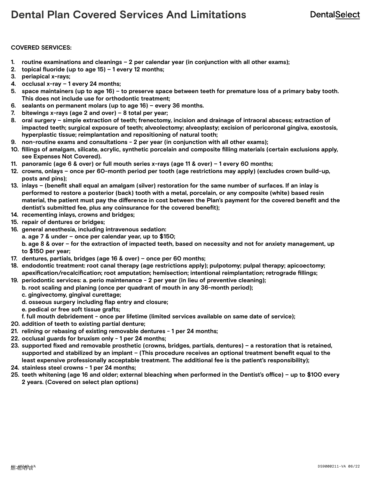#### **COVERED SERVICES:**

- **1. routine examinations and cleanings 2 per calendar year (in conjunction with all other exams);**
- **2. topical fluoride (up to age 15) 1 every 12 months;**
- **3. periapical x-rays;**
- **4. occlusal x-ray 1 every 24 months;**
- **5. space maintainers (up to age 16) to preserve space between teeth for premature loss of a primary baby tooth. This does not include use for orthodontic treatment;**
- **6. sealants on permanent molars (up to age 16) every 36 months.**
- **7. bitewings x-rays (age 2 and over) 8 total per year;**
- **8. oral surgery simple extraction of teeth; frenectomy, incision and drainage of intraoral abscess; extraction of impacted teeth; surgical exposure of teeth; alveolectomy; alveoplasty; excision of pericoronal gingiva, exostosis, hyperplastic tissue; reimplantation and repositioning of natural tooth;**
- **9. non-routine exams and consultations 2 per year (in conjunction with all other exams);**
- **10. fillings of amalgam, silicate, acrylic, synthetic porcelain and composite filling materials (certain exclusions apply, see Expenses Not Covered).**
- **11. panoramic (age 6 & over) or full mouth series x-rays (age 11 & over) 1 every 60 months;**
- **12. crowns, onlays once per 60-month period per tooth (age restrictions may apply) (excludes crown build-up, posts and pins);**
- **13. inlays (benefit shall equal an amalgam (silver) restoration for the same number of surfaces. If an inlay is performed to restore a posterior (back) tooth with a metal, porcelain, or any composite (white) based resin material, the patient must pay the difference in cost between the Plan's payment for the covered benefit and the dentist's submitted fee, plus any coinsurance for the covered benefit);**
- **14. recementing inlays, crowns and bridges;**
- **15. repair of dentures or bridges;**
- **16. general anesthesia, including intravenous sedation:**

**a. age 7 & under – once per calendar year, up to \$150;** 

**b. age 8 & over – for the extraction of impacted teeth, based on necessity and not for anxiety management, up to \$150 per year;** 

- **17. dentures, partials, bridges (age 16 & over) once per 60 months;**
- **18. endodontic treatment: root canal therapy (age restrictions apply); pulpotomy; pulpal therapy; apicoectomy; apexification/recalcification; root amputation; hemisection; intentional reimplantation; retrograde fillings;**
- **19. periodontic services: a. perio maintenance 2 per year (in lieu of preventive cleaning);** 
	- **b. root scaling and planing (once per quadrant of mouth in any 36-month period);** 
		- **c. gingivectomy, gingival curettage;**
		- **d. osseous surgery including flap entry and closure;**
		- **e. pedical or free soft tissue grafts;**
		- **f. full mouth debridement once per lifetime (limited services available on same date of service);**
- **20. addition of teeth to existing partial denture;**
- **21. relining or rebasing of existing removable dentures 1 per 24 months;**
- **22. occlusal guards for bruxism only 1 per 24 months;**
- **23. supported fixed and removable prosthetic (crowns, bridges, partials, dentures) a restoration that is retained, supported and stabilized by an implant – (This procedure receives an optional treatment benefit equal to the least expensive professionally acceptable treatment. The additional fee is the patient's responsibility);**
- **24. stainless steel crowns 1 per 24 months;**
- **25. teeth whitening (age 16 and older; external bleaching when performed in the Dentist's office) up to \$100 every 2 years. (Covered on select plan options)**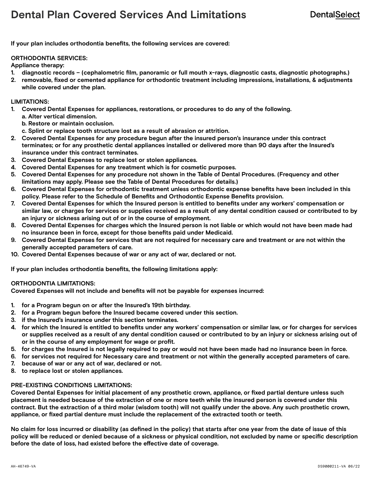## **Dental Plan Covered Services And Limitations**

**If your plan includes orthodontia benefits, the following services are covered:** 

#### **ORTHODONTIA SERVICES:**

**Appliance therapy:** 

- **1. diagnostic records (cephalometric film, panoramic or full mouth x-rays, diagnostic casts, diagnostic photographs.)**
- **2. removable, fixed or cemented appliance for orthodontic treatment including impressions, installations, & adjustments while covered under the plan.**

#### **LIMITATIONS:**

- **1. Covered Dental Expenses for appliances, restorations, or procedures to do any of the following. a. Alter vertical dimension.**
	- **b. Restore or maintain occlusion.**
	- **c. Splint or replace tooth structure lost as a result of abrasion or attrition.**
- **2. Covered Dental Expenses for any procedure begun after the insured person's insurance under this contract terminates; or for any prosthetic dental appliances installed or delivered more than 90 days after the Insured's insurance under this contract terminates.**
- **3. Covered Dental Expenses to replace lost or stolen appliances.**
- **4. Covered Dental Expenses for any treatment which is for cosmetic purposes.**
- **5. Covered Dental Expenses for any procedure not shown in the Table of Dental Procedures. (Frequency and other limitations may apply. Please see the Table of Dental Procedures for details.)**
- **6. Covered Dental Expenses for orthodontic treatment unless orthodontic expense benefits have been included in this policy. Please refer to the Schedule of Benefits and Orthodontic Expense Benefits provision.**
- **7. Covered Dental Expenses for which the Insured person is entitled to benefits under any workers' compensation or similar law, or charges for services or supplies received as a result of any dental condition caused or contributed to by an injury or sickness arising out of or in the course of employment.**
- **8. Covered Dental Expenses for charges which the Insured person is not liable or which would not have been made had no insurance been in force, except for those benefits paid under Medicaid.**
- **9. Covered Dental Expenses for services that are not required for necessary care and treatment or are not within the generally accepted parameters of care.**
- **10. Covered Dental Expenses because of war or any act of war, declared or not.**

**If your plan includes orthodontia benefits, the following limitations apply:**

#### **ORTHODONTIA LIMITATIONS:**

**Covered Expenses will not include and benefits will not be payable for expenses incurred:**

- **1. for a Program begun on or after the Insured's 19th birthday.**
- **2. for a Program begun before the Insured became covered under this section.**
- **3. if the Insured's insurance under this section terminates.**
- **4. for which the Insured is entitled to benefits under any workers' compensation or similar law, or for charges for services or supplies received as a result of any dental condition caused or contributed to by an injury or sickness arising out of or in the course of any employment for wage or profit.**
- **5. for charges the Insured is not legally required to pay or would not have been made had no insurance been in force.**
- **6. for services not required for Necessary care and treatment or not within the generally accepted parameters of care.**
- **7. because of war or any act of war, declared or not.**
- **8. to replace lost or stolen appliances.**

#### **PRE-EXISTING CONDITIONS LIMITATIONS:**

**Covered Dental Expenses for initial placement of any prosthetic crown, appliance, or fixed partial denture unless such placement is needed because of the extraction of one or more teeth while the insured person is covered under this contract. But the extraction of a third molar (wisdom tooth) will not qualify under the above. Any such prosthetic crown, appliance, or fixed partial denture must include the replacement of the extracted tooth or teeth.**

**No claim for loss incurred or disability (as defined in the policy) that starts after one year from the date of issue of this policy will be reduced or denied because of a sickness or physical condition, not excluded by name or specific description before the date of loss, had existed before the effective date of coverage.**